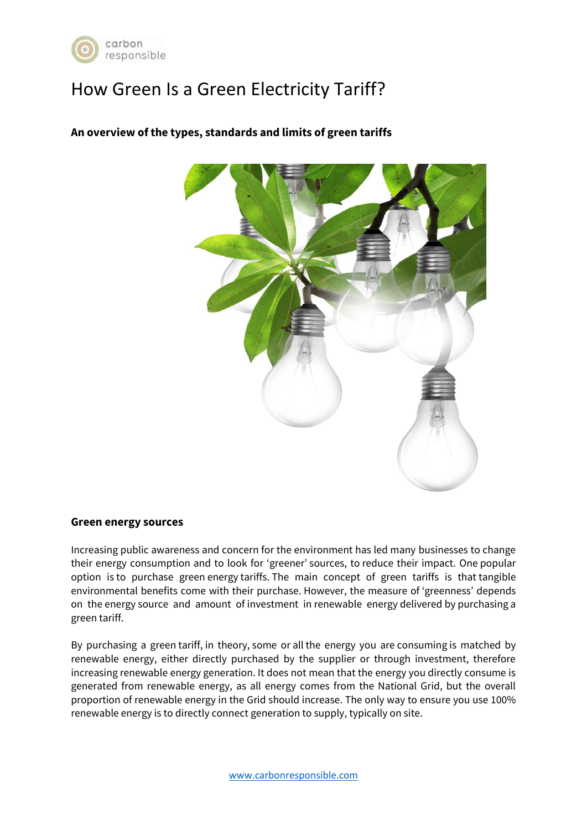

# How Green Is a Green Electricity Tariff?



## **An overview of the types, standards and limits of green tariffs**

#### **Green energy sources**

Increasing public awareness and concern for the environment has led many businesses to change their energy consumption and to look for 'greener' sources, to reduce their impact. One popular option is to purchase green energy tariffs. The main concept of green tariffs is that tangible environmental benefits come with their purchase. However, the measure of 'greenness' depends on the energy source and amount of investment in renewable energy delivered by purchasing a green tariff.

By purchasing a green tariff, in theory, some or all the energy you are consuming is matched by renewable energy, either directly purchased by the supplier or through investment, therefore increasing renewable energy generation. It does not mean that the energy you directly consume is generated from renewable energy, as all energy comes from the National Grid, but the overall proportion of renewable energy in the Grid should increase. The only way to ensure you use 100% renewable energy is to directly connect generation to supply, typically on site.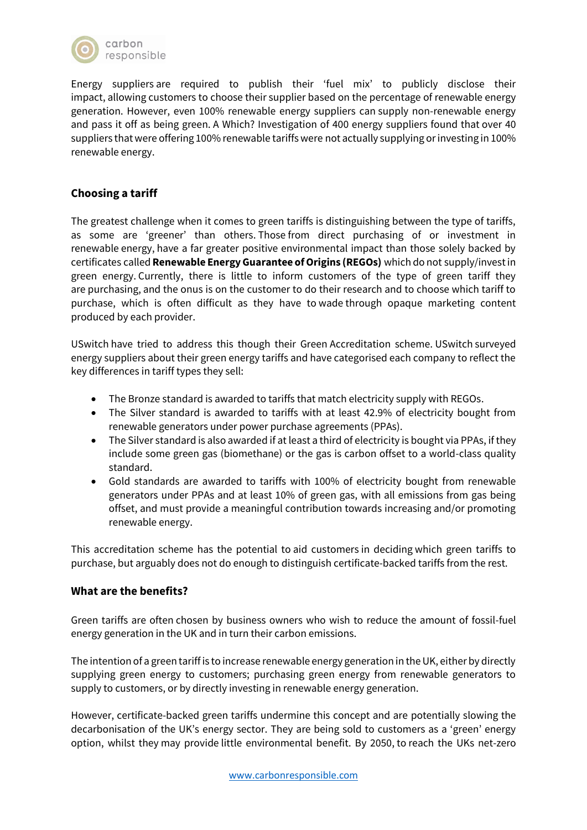

Energy suppliers are required to publish their 'fuel mix' to publicly disclose their impact, allowing customers to choose their supplier based on the percentage of renewable energy generation. However, even 100% renewable energy suppliers can supply non-renewable energy and pass it off as being green. A Which? Investigation of 400 energy suppliers found that over 40 suppliers that were offering 100% renewable tariffs were not actually supplying or investing in 100% renewable energy.

## **Choosing a tariff**

The greatest challenge when it comes to green tariffs is distinguishing between the type of tariffs, as some are 'greener' than others. Those from direct purchasing of or investment in renewable energy, have a far greater positive environmental impact than those solely backed by certificates called **Renewable Energy Guarantee of Origins (REGOs)** which do not supply/invest in green energy. Currently, there is little to inform customers of the type of green tariff they are purchasing, and the onus is on the customer to do their research and to choose which tariff to purchase, which is often difficult as they have to wade through opaque marketing content produced by each provider.

USwitch have tried to address this though their Green Accreditation scheme. USwitch surveyed energy suppliers about their green energy tariffs and have categorised each company to reflect the key differences in tariff types they sell:

- The Bronze standard is awarded to tariffs that match electricity supply with REGOs.
- The Silver standard is awarded to tariffs with at least 42.9% of electricity bought from renewable generators under power purchase agreements (PPAs).
- The Silver standard is also awarded if at least a third of electricity is bought via PPAs, if they include some green gas (biomethane) or the gas is carbon offset to a world-class quality standard.
- Gold standards are awarded to tariffs with 100% of electricity bought from renewable generators under PPAs and at least 10% of green gas, with all emissions from gas being offset, and must provide a meaningful contribution towards increasing and/or promoting renewable energy.

This accreditation scheme has the potential to aid customers in deciding which green tariffs to purchase, but arguably does not do enough to distinguish certificate-backed tariffs from the rest.

## **What are the benefits?**

Green tariffs are often chosen by business owners who wish to reduce the amount of fossil-fuel energy generation in the UK and in turn their carbon emissions.

The intention of a green tariff is to increase renewable energy generation in the UK, either by directly supplying green energy to customers; purchasing green energy from renewable generators to supply to customers, or by directly investing in renewable energy generation.

However, certificate-backed green tariffs undermine this concept and are potentially slowing the decarbonisation of the UK's energy sector. They are being sold to customers as a 'green' energy option, whilst they may provide little environmental benefit. By 2050, to reach the UKs net-zero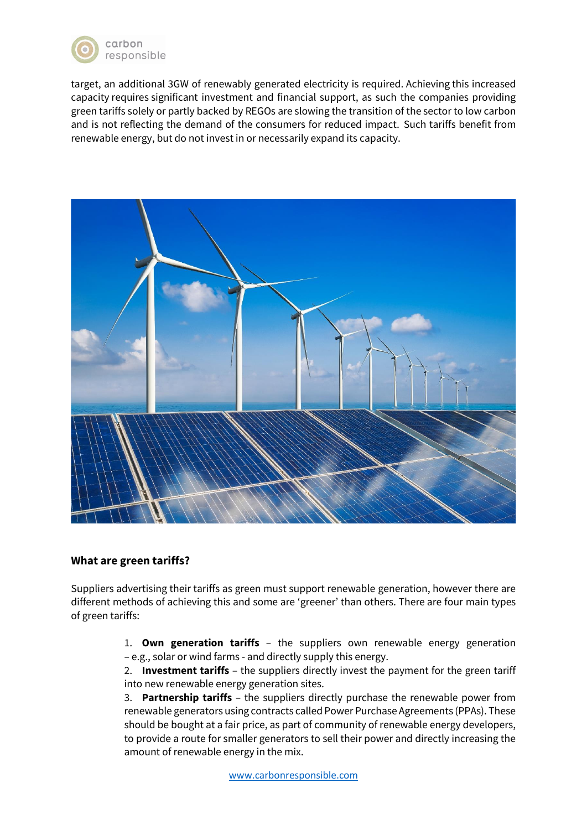

target, an additional 3GW of renewably generated electricity is required. Achieving this increased capacity requires significant investment and financial support, as such the companies providing green tariffs solely or partly backed by REGOs are slowing the transition of the sector to low carbon and is not reflecting the demand of the consumers for reduced impact. Such tariffs benefit from renewable energy, but do not invest in or necessarily expand its capacity.



#### **What are green tariffs?**

Suppliers advertising their tariffs as green must support renewable generation, however there are different methods of achieving this and some are 'greener' than others. There are four main types of green tariffs:

> 1. **Own generation tariffs** – the suppliers own renewable energy generation – e.g., solar or wind farms - and directly supply this energy.

> 2. **Investment tariffs** – the suppliers directly invest the payment for the green tariff into new renewable energy generation sites.

> 3. **Partnership tariffs** – the suppliers directly purchase the renewable power from renewable generators using contracts called Power Purchase Agreements (PPAs). These should be bought at a fair price, as part of community of renewable energy developers, to provide a route for smaller generators to sell their power and directly increasing the amount of renewable energy in the mix.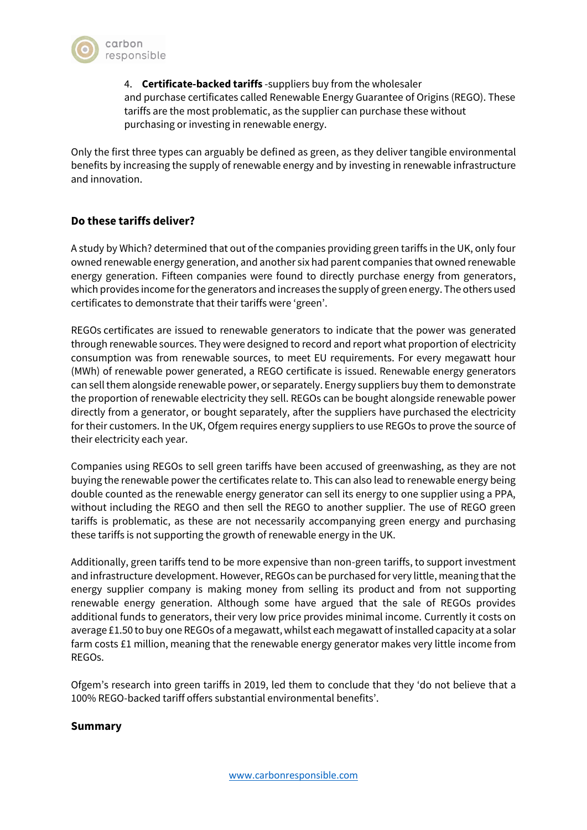

4. **Certificate-backed tariffs** -suppliers buy from the wholesaler and purchase certificates called Renewable Energy Guarantee of Origins (REGO). These tariffs are the most problematic, as the supplier can purchase these without purchasing or investing in renewable energy.

Only the first three types can arguably be defined as green, as they deliver tangible environmental benefits by increasing the supply of renewable energy and by investing in renewable infrastructure and innovation.

## **Do these tariffs deliver?**

A study by Which? determined that out of the companies providing green tariffs in the UK, only four owned renewable energy generation, and another six had parent companies that owned renewable energy generation. Fifteen companies were found to directly purchase energy from generators, which provides income for the generators and increases the supply of green energy. The others used certificates to demonstrate that their tariffs were 'green'.

REGOs certificates are issued to renewable generators to indicate that the power was generated through renewable sources. They were designed to record and report what proportion of electricity consumption was from renewable sources, to meet EU requirements. For every megawatt hour (MWh) of renewable power generated, a REGO certificate is issued. Renewable energy generators can sell them alongside renewable power, or separately. Energy suppliers buy them to demonstrate the proportion of renewable electricity they sell. REGOs can be bought alongside renewable power directly from a generator, or bought separately, after the suppliers have purchased the electricity for their customers. In the UK, Ofgem requires energy suppliers to use REGOs to prove the source of their electricity each year.

Companies using REGOs to sell green tariffs have been accused of greenwashing, as they are not buying the renewable power the certificates relate to. This can also lead to renewable energy being double counted as the renewable energy generator can sell its energy to one supplier using a PPA, without including the REGO and then sell the REGO to another supplier. The use of REGO green tariffs is problematic, as these are not necessarily accompanying green energy and purchasing these tariffs is not supporting the growth of renewable energy in the UK.

Additionally, green tariffs tend to be more expensive than non-green tariffs, to support investment and infrastructure development. However, REGOs can be purchased for very little, meaning that the energy supplier company is making money from selling its product and from not supporting renewable energy generation. Although some have argued that the sale of REGOs provides additional funds to generators, their very low price provides minimal income. Currently it costs on average £1.50 to buy one REGOs of a megawatt, whilst each megawatt of installed capacity at a solar farm costs £1 million, meaning that the renewable energy generator makes very little income from REGOs.

Ofgem's research into green tariffs in 2019, led them to conclude that they 'do not believe that a 100% REGO-backed tariff offers substantial environmental benefits'.

#### **Summary**